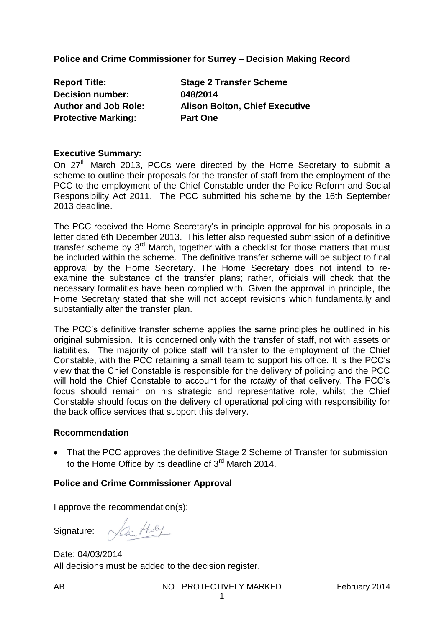**Police and Crime Commissioner for Surrey – Decision Making Record**

**Report Title: Stage 2 Transfer Scheme Decision number: 048/2014 Author and Job Role: Alison Bolton, Chief Executive Protective Marking:** Part One

### **Executive Summary:**

On 27<sup>th</sup> March 2013, PCCs were directed by the Home Secretary to submit a scheme to outline their proposals for the transfer of staff from the employment of the PCC to the employment of the Chief Constable under the Police Reform and Social Responsibility Act 2011. The PCC submitted his scheme by the 16th September 2013 deadline.

The PCC received the Home Secretary's in principle approval for his proposals in a letter dated 6th December 2013. This letter also requested submission of a definitive transfer scheme by  $3<sup>rd</sup>$  March, together with a checklist for those matters that must be included within the scheme. The definitive transfer scheme will be subject to final approval by the Home Secretary. The Home Secretary does not intend to reexamine the substance of the transfer plans; rather, officials will check that the necessary formalities have been complied with. Given the approval in principle, the Home Secretary stated that she will not accept revisions which fundamentally and substantially alter the transfer plan.

The PCC's definitive transfer scheme applies the same principles he outlined in his original submission. It is concerned only with the transfer of staff, not with assets or liabilities. The majority of police staff will transfer to the employment of the Chief Constable, with the PCC retaining a small team to support his office. It is the PCC's view that the Chief Constable is responsible for the delivery of policing and the PCC will hold the Chief Constable to account for the *totality* of that delivery. The PCC's focus should remain on his strategic and representative role, whilst the Chief Constable should focus on the delivery of operational policing with responsibility for the back office services that support this delivery.

#### **Recommendation**

• That the PCC approves the definitive Stage 2 Scheme of Transfer for submission to the Home Office by its deadline of  $3<sup>rd</sup>$  March 2014.

### **Police and Crime Commissioner Approval**

I approve the recommendation(s):

Signature:

Lai tholy

Date: 04/03/2014 All decisions must be added to the decision register.

1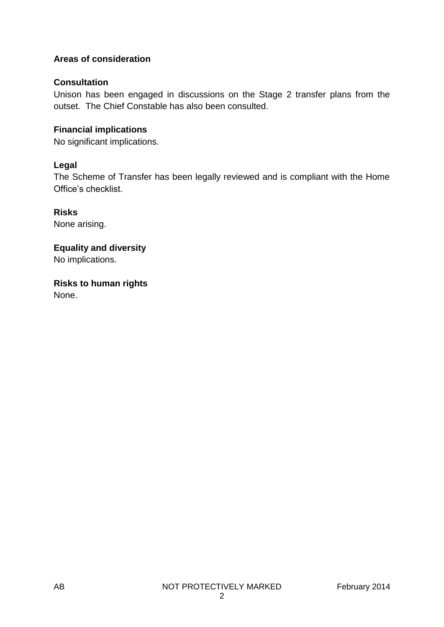# **Areas of consideration**

## **Consultation**

Unison has been engaged in discussions on the Stage 2 transfer plans from the outset. The Chief Constable has also been consulted.

## **Financial implications**

No significant implications.

# **Legal**

The Scheme of Transfer has been legally reviewed and is compliant with the Home Office's checklist.

**Risks** None arising.

**Equality and diversity** No implications.

**Risks to human rights** None.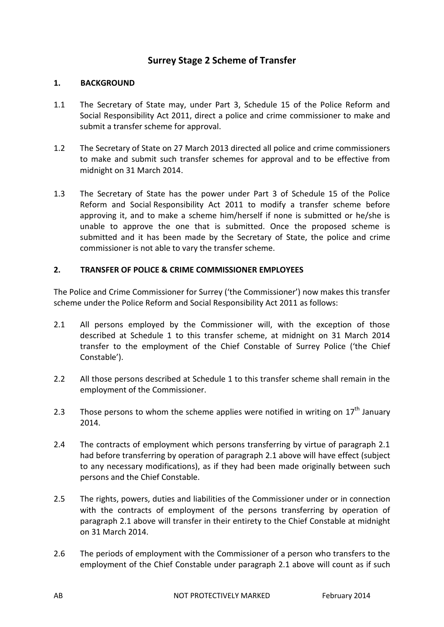# **Surrey Stage 2 Scheme of Transfer**

### **1. BACKGROUND**

- 1.1 The Secretary of State may, under Part 3, Schedule 15 of the Police Reform and Social Responsibility Act 2011, direct a police and crime commissioner to make and submit a transfer scheme for approval.
- 1.2 The Secretary of State on 27 March 2013 directed all police and crime commissioners to make and submit such transfer schemes for approval and to be effective from midnight on 31 March 2014.
- 1.3 The Secretary of State has the power under Part 3 of Schedule 15 of the Police Reform and Social Responsibility Act 2011 to modify a transfer scheme before approving it, and to make a scheme him/herself if none is submitted or he/she is unable to approve the one that is submitted. Once the proposed scheme is submitted and it has been made by the Secretary of State, the police and crime commissioner is not able to vary the transfer scheme.

### **2. TRANSFER OF POLICE & CRIME COMMISSIONER EMPLOYEES**

The Police and Crime Commissioner for Surrey ('the Commissioner') now makes this transfer scheme under the Police Reform and Social Responsibility Act 2011 as follows:

- 2.1 All persons employed by the Commissioner will, with the exception of those described at Schedule 1 to this transfer scheme, at midnight on 31 March 2014 transfer to the employment of the Chief Constable of Surrey Police ('the Chief Constable').
- 2.2 All those persons described at Schedule 1 to this transfer scheme shall remain in the employment of the Commissioner.
- 2.3 Those persons to whom the scheme applies were notified in writing on  $17<sup>th</sup>$  January 2014.
- 2.4 The contracts of employment which persons transferring by virtue of paragraph 2.1 had before transferring by operation of paragraph 2.1 above will have effect (subject to any necessary modifications), as if they had been made originally between such persons and the Chief Constable.
- 2.5 The rights, powers, duties and liabilities of the Commissioner under or in connection with the contracts of employment of the persons transferring by operation of paragraph 2.1 above will transfer in their entirety to the Chief Constable at midnight on 31 March 2014.
- 2.6 The periods of employment with the Commissioner of a person who transfers to the employment of the Chief Constable under paragraph 2.1 above will count as if such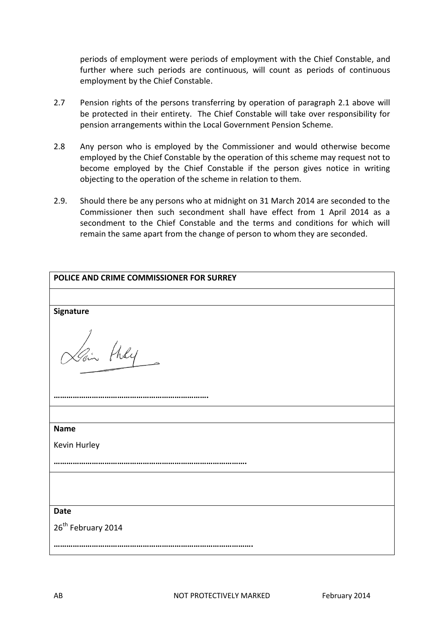periods of employment were periods of employment with the Chief Constable, and further where such periods are continuous, will count as periods of continuous employment by the Chief Constable.

- 2.7 Pension rights of the persons transferring by operation of paragraph 2.1 above will be protected in their entirety. The Chief Constable will take over responsibility for pension arrangements within the Local Government Pension Scheme.
- 2.8 Any person who is employed by the Commissioner and would otherwise become employed by the Chief Constable by the operation of this scheme may request not to become employed by the Chief Constable if the person gives notice in writing objecting to the operation of the scheme in relation to them.
- 2.9. Should there be any persons who at midnight on 31 March 2014 are seconded to the Commissioner then such secondment shall have effect from 1 April 2014 as a secondment to the Chief Constable and the terms and conditions for which will remain the same apart from the change of person to whom they are seconded.

| POLICE AND CRIME COMMISSIONER FOR SURREY |  |
|------------------------------------------|--|
|                                          |  |
| Signature                                |  |
| Lain they                                |  |
|                                          |  |
|                                          |  |
| <b>Name</b>                              |  |
| Kevin Hurley                             |  |
|                                          |  |
|                                          |  |
| <b>Date</b>                              |  |
| 26 <sup>th</sup> February 2014           |  |
|                                          |  |